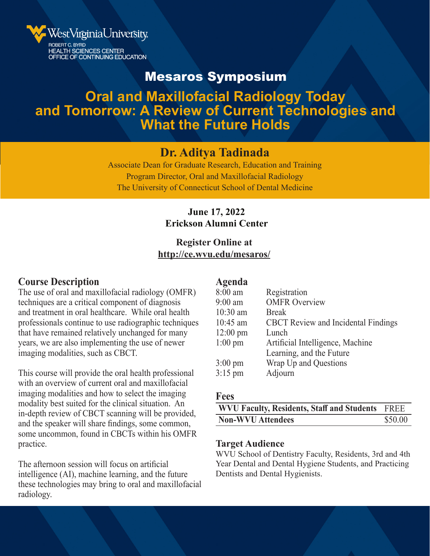

## Mesaros Symposium

# **Oral and Maxillofacial Radiology Today and Tomorrow: A Review of Current Technologies and What the Future Holds**

### **Dr. Aditya Tadinada**

Associate Dean for Graduate Research, Education and Training Program Director, Oral and Maxillofacial Radiology The University of Connecticut School of Dental Medicine

#### **June 17, 2022 Erickson Alumni Center**

#### **Register Online at http://ce.wvu.edu/mesaros/**

#### **Course Description**

The use of oral and maxillofacial radiology (OMFR) techniques are a critical component of diagnosis and treatment in oral healthcare. While oral health professionals continue to use radiographic techniques that have remained relatively unchanged for many years, we are also implementing the use of newer imaging modalities, such as CBCT.

This course will provide the oral health professional with an overview of current oral and maxillofacial imaging modalities and how to select the imaging modality best suited for the clinical situation. An in-depth review of CBCT scanning will be provided, and the speaker will share findings, some common, some uncommon, found in CBCTs within his OMFR practice.

The afternoon session will focus on artificial intelligence (AI), machine learning, and the future these technologies may bring to oral and maxillofacial radiology.

#### **Agenda**

| Registration                               |
|--------------------------------------------|
| <b>OMFR Overview</b>                       |
| <b>Break</b>                               |
| <b>CBCT</b> Review and Incidental Findings |
| Lunch                                      |
| Artificial Intelligence, Machine           |
| Learning, and the Future                   |
| Wrap Up and Questions                      |
| Adjourn                                    |
|                                            |

#### **Fees**

| WVU Faculty, Residents, Staff and Students FREE |         |
|-------------------------------------------------|---------|
| <b>Non-WVU Attendees</b>                        | \$50.00 |

#### **Target Audience**

WVU School of Dentistry Faculty, Residents, 3rd and 4th Year Dental and Dental Hygiene Students, and Practicing Dentists and Dental Hygienists.